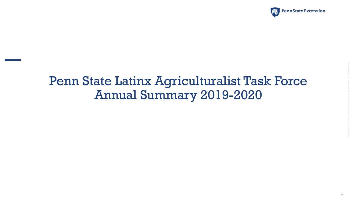

# Penn State Latinx Agriculturalist Task Force Annual Summary 2019-2020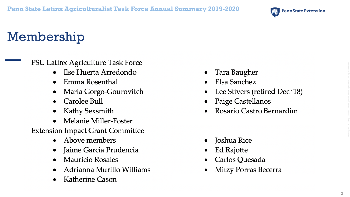

# Membership

PSU Latinx Agriculture Task Force

- Ilse Huerta Arredondo
- Emma Rosenthal  $\bullet$
- Maria Gorgo-Gourovitch  $\bullet$
- Carolee Bull  $\bullet$
- Kathy Sexsmith  $\bullet$
- Melanie Miller-Foster

**Extension Impact Grant Committee** 

- Above members
- Jaime Garcia Prudencia  $\bullet$
- **Mauricio Rosales**  $\bullet$
- Adrianna Murillo Williams  $\bullet$
- **Katherine Cason**  $\bullet$
- Tara Baugher
- Elsa Sanchez
- Lee Stivers (retired Dec'18)
- Paige Castellanos
- Rosario Castro Bernardim

- Joshua Rice
- Ed Rajotte
- Carlos Quesada
- Mitzy Porras Becerra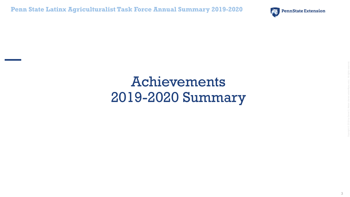**Penn State Latinx Agriculturalist Task Force Annual Summary 2019-2020**



# Achievements 2019-2020 Summary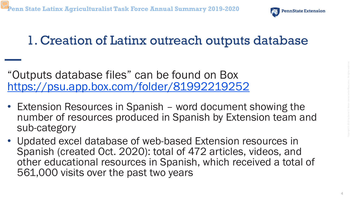

# 1. Creation of Latinx outreach outputs database

"Outputs database files" can be found on Box <https://psu.app.box.com/folder/81992219252>

- Extension Resources in Spanish word document showing the number of resources produced in Spanish by Extension team and sub-category
- Updated excel database of web-based Extension resources in Spanish (created Oct. 2020): total of 472 articles, videos, and other educational resources in Spanish, which received a total of 561,000 visits over the past two years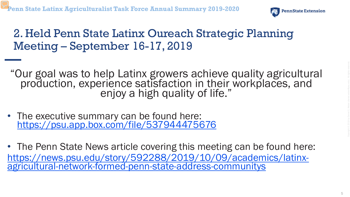

#### 2. Held Penn State Latinx Oureach Strategic Planning Meeting – September 16-17, 2019

"Our goal was to help Latinx growers achieve quality agricultural production, experience satisfaction in their workplaces, and enjoy a high quality of life."

- The executive summary can be found here: <https://psu.app.box.com/file/537944475676>
- The Penn State News article covering this meeting can be found here: [https://news.psu.edu/story/592288/2019/10/09/academics/latinx-](https://news.psu.edu/story/592288/2019/10/09/academics/latinx-agricultural-network-formed-penn-state-address-communitys) agricultural-network-formed-penn-state-address-communitys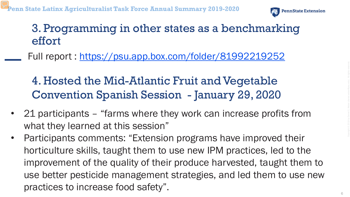

### 3. Programming in other states as a benchmarking effort

Full report :<https://psu.app.box.com/folder/81992219252>

### 4. Hosted the Mid-Atlantic Fruit and Vegetable Convention Spanish Session - January 29, 2020

- 21 participants "farms where they work can increase profits from what they learned at this session"
- Participants comments: "Extension programs have improved their horticulture skills, taught them to use new IPM practices, led to the improvement of the quality of their produce harvested, taught them to use better pesticide management strategies, and led them to use new practices to increase food safety".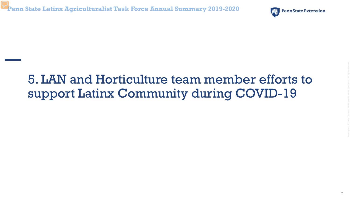

7

# 5. LAN and Horticulture team member efforts to support Latinx Community during COVID-19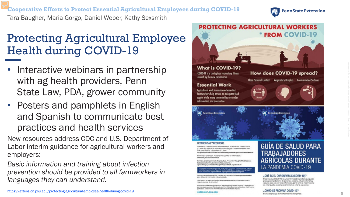**Cooperative Efforts to Protect Essential Agricultural Employees during COVID -19** Tara Baugher, Maria Gorgo, Daniel Weber, Kathy Sexsmith



### Protecting Agricultural Employee Health during COVID -19

- Interactive webinars in partnership with ag health providers, Penn State Law, PDA, grower community
- Posters and pamphlets in English and Spanish to communicate best practices and health services

New resources address CDC and U.S. Department of Labor interim guidance for agricultural workers and employers:

*Basic information and training about infection prevention should be provided to all farmworkers in languages they can understand.* 



scio esancial da alimentos!

bloación producida originalmente por Cornell Farmworker Program y adaptada con<br>miso para su une en Pensibania por Penn State Extension y Keystone Health como arte-de la colaboración Penn Stute Extension Multistate Impact.

# LA PANDEMIA COVID-19

#### ¿QUÉ ES EL CORONAVIRUS (COVID-19)?

El coronavirus (COVID-19) es una enformedad respiratoria que puede propagarse rápidamente de persona a persona. Actualmente no hay vacunas para prevenir esta erifermedad, por lo tanto la mejor munera de evitar que las personas se enfermen es evitar la exposició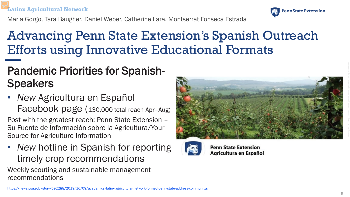#### **Latinx Agricultural Network**



Maria Gorgo, Tara Baugher, Daniel Weber, Catherine Lara, Montserrat Fonseca Estrada

# Advancing Penn State Extension's Spanish Outreach Efforts using Innovative Educational Formats

### Pandemic Priorities for Spanish-**Speakers**

• *New* Agricultura en Español Facebook page (130,000 total reach Apr–Aug)

Post with the greatest reach: Penn State Extension – Su Fuente de Información sobre la Agricultura/Your Source for Agriculture Information

• *New hotline in Spanish for reporting* timely crop recommendations

Weekly scouting and sustainable management recommendations





**Penn State Extension** Agricultura en Español